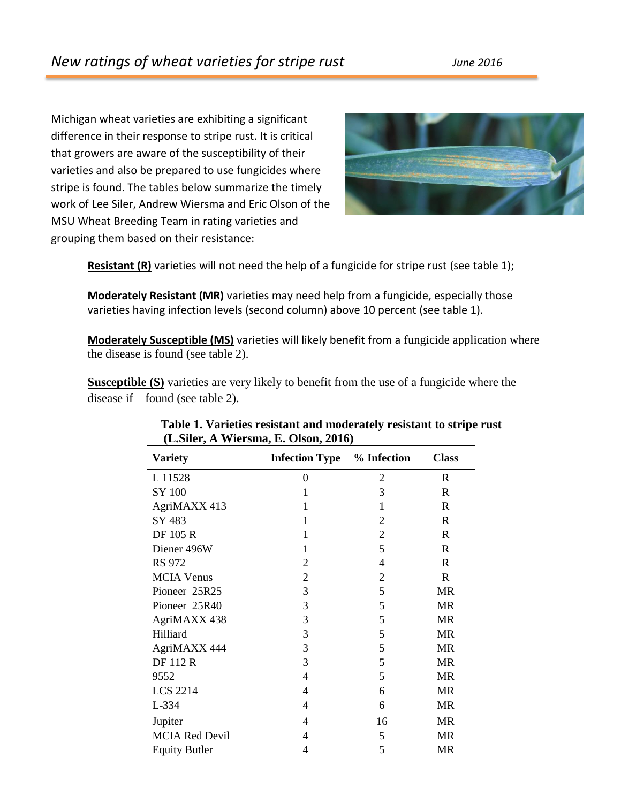Michigan wheat varieties are exhibiting a significant difference in their response to stripe rust. It is critical that growers are aware of the susceptibility of their varieties and also be prepared to use fungicides where stripe is found. The tables below summarize the timely work of Lee Siler, Andrew Wiersma and Eric Olson of the MSU Wheat Breeding Team in rating varieties and grouping them based on their resistance:



**Resistant (R)** varieties will not need the help of a fungicide for stripe rust (see table 1);

**Moderately Resistant (MR)** varieties may need help from a fungicide, especially those varieties having infection levels (second column) above 10 percent (see table 1).

**Moderately Susceptible (MS)** varieties will likely benefit from a fungicide application where the disease is found (see table 2).

**Susceptible (S)** varieties are very likely to benefit from the use of a fungicide where the disease if found (see table 2).

| <b>Variety</b>        | <b>Infection Type</b> % Infection |                | <b>Class</b> |
|-----------------------|-----------------------------------|----------------|--------------|
| L 11528               | 0                                 | $\overline{2}$ | R            |
| SY 100                | 1                                 | 3              | R            |
| AgriMAXX 413          | 1                                 | 1              | $\mathbf R$  |
| SY 483                | 1                                 | 2              | $\mathbf R$  |
| <b>DF 105 R</b>       | 1                                 | $\overline{2}$ | R            |
| Diener 496W           | 1                                 | 5              | R            |
| <b>RS 972</b>         | 2                                 | $\overline{4}$ | R            |
| <b>MCIA Venus</b>     | $\overline{2}$                    | 2              | R            |
| Pioneer 25R25         | 3                                 | 5              | <b>MR</b>    |
| Pioneer 25R40         | 3                                 | 5              | <b>MR</b>    |
| AgriMAXX 438          | 3                                 | 5              | <b>MR</b>    |
| Hilliard              | 3                                 | 5              | <b>MR</b>    |
| AgriMAXX 444          | 3                                 | 5              | <b>MR</b>    |
| <b>DF112R</b>         | 3                                 | 5              | <b>MR</b>    |
| 9552                  | $\overline{4}$                    | 5              | <b>MR</b>    |
| <b>LCS 2214</b>       | 4                                 | 6              | <b>MR</b>    |
| L-334                 | 4                                 | 6              | <b>MR</b>    |
| Jupiter               | 4                                 | 16             | <b>MR</b>    |
| <b>MCIA Red Devil</b> | 4                                 | 5              | <b>MR</b>    |
| <b>Equity Butler</b>  | 4                                 | 5              | <b>MR</b>    |

## **Table 1. Varieties resistant and moderately resistant to stripe rust (L.Siler, A Wiersma, E. Olson, 2016)**